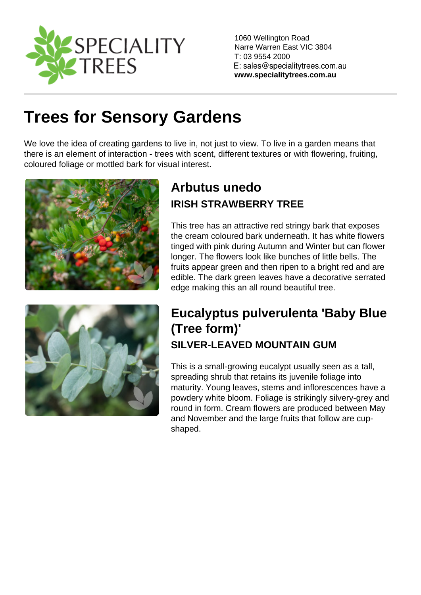1060 Wellington Road Narre Warren East VIC 3804 T: 03 9554 2000

www.specialitytrees.com.au

# [Trees for Sensory Gardens](https://www.specialitytrees.com.au/collections/trees-for-sensory-gardens-8oguc)

We love the idea of creating gardens to live in, not just to view. To live in a garden means that there is an element of interaction - trees with scent, different textures or with flowering, fruiting, coloured foliage or mottled bark for visual interest.

# [Arbutus unedo](https://www.specialitytrees.com.au/trees/arbutus-unedo-oxvc3)  IRISH STRAWBERRY TREE

This tree has an attractive red stringy bark that exposes the cream coloured bark underneath. It has white flowers tinged with pink during Autumn and Winter but can flower longer. The flowers look like bunches of little bells. The fruits appear green and then ripen to a bright red and are edible. The dark green leaves have a decorative serrated edge making this an all round beautiful tree.

#### [Eucalyptus pulverulenta 'Baby Blue](https://www.specialitytrees.com.au/trees/eucalyptus-pulverulenta-baby-blue-tree-form-f5c22)  [\(Tree form\)'](https://www.specialitytrees.com.au/trees/eucalyptus-pulverulenta-baby-blue-tree-form-f5c22)  SILVER-LEAVED MOUNTAIN GUM

This is a small-growing eucalypt usually seen as a tall, spreading shrub that retains its juvenile foliage into maturity. Young leaves, stems and inflorescences have a powdery white bloom. Foliage is strikingly silvery-grey and round in form. Cream flowers are produced between May and November and the large fruits that follow are cupshaped.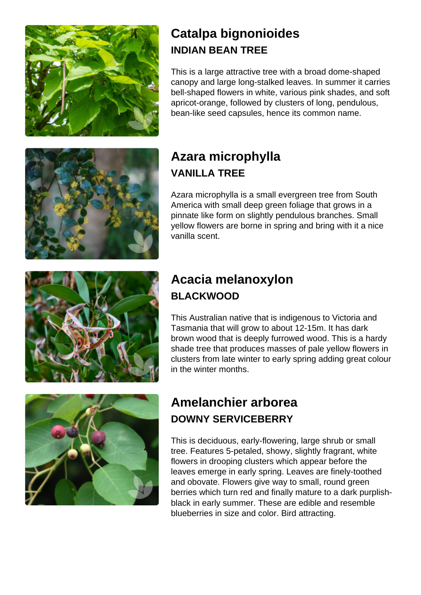#### [Catalpa bignonioides](https://www.specialitytrees.com.au/trees/catalpa-bignonioides-ee7fy)  INDIAN BEAN TREE

This is a large attractive tree with a broad dome-shaped canopy and large long-stalked leaves. In summer it carries bell-shaped flowers in white, various pink shades, and soft apricot-orange, followed by clusters of long, pendulous, bean-like seed capsules, hence its common name.

# [Azara microphylla](https://www.specialitytrees.com.au/trees/azara-microphylla-qlkam)  VANILLA TREE

Azara microphylla is a small evergreen tree from South America with small deep green foliage that grows in a pinnate like form on slightly pendulous branches. Small yellow flowers are borne in spring and bring with it a nice vanilla scent.

# [Acacia melanoxylon](https://www.specialitytrees.com.au/trees/acacia-melanoxylon-t08kk)  BLACKWOOD

This Australian native that is indigenous to Victoria and Tasmania that will grow to about 12-15m. It has dark brown wood that is deeply furrowed wood. This is a hardy shade tree that produces masses of pale yellow flowers in clusters from late winter to early spring adding great colour in the winter months.

### [Amelanchier arborea](https://www.specialitytrees.com.au/trees/amelanchier-arborea-ekw4z)  DOWNY SERVICEBERRY

This is deciduous, early-flowering, large shrub or small tree. Features 5-petaled, showy, slightly fragrant, white flowers in drooping clusters which appear before the leaves emerge in early spring. Leaves are finely-toothed and obovate. Flowers give way to small, round green berries which turn red and finally mature to a dark purplishblack in early summer. These are edible and resemble blueberries in size and color. Bird attracting.